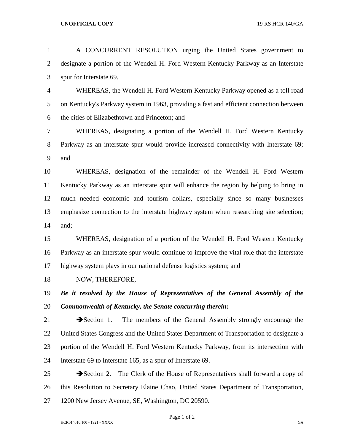## **UNOFFICIAL COPY** 19 RS HCR 140/GA

| $\mathbf{1}$   | A CONCURRENT RESOLUTION urging the United States government to                                     |
|----------------|----------------------------------------------------------------------------------------------------|
| $\overline{2}$ | designate a portion of the Wendell H. Ford Western Kentucky Parkway as an Interstate               |
| 3              | spur for Interstate 69.                                                                            |
| 4              | WHEREAS, the Wendell H. Ford Western Kentucky Parkway opened as a toll road                        |
| 5              | on Kentucky's Parkway system in 1963, providing a fast and efficient connection between            |
| 6              | the cities of Elizabethtown and Princeton; and                                                     |
| 7              | WHEREAS, designating a portion of the Wendell H. Ford Western Kentucky                             |
| $8\,$          | Parkway as an interstate spur would provide increased connectivity with Interstate 69;             |
| 9              | and                                                                                                |
| 10             | WHEREAS, designation of the remainder of the Wendell H. Ford Western                               |
| 11             | Kentucky Parkway as an interstate spur will enhance the region by helping to bring in              |
| 12             | much needed economic and tourism dollars, especially since so many businesses                      |
| 13             | emphasize connection to the interstate highway system when researching site selection;             |
| 14             | and;                                                                                               |
| 15             | WHEREAS, designation of a portion of the Wendell H. Ford Western Kentucky                          |
| 16             | Parkway as an interstate spur would continue to improve the vital role that the interstate         |
| 17             | highway system plays in our national defense logistics system; and                                 |
| 18             | NOW, THEREFORE,                                                                                    |
| 19             | Be it resolved by the House of Representatives of the General Assembly of the                      |
| 20             | Commonwealth of Kentucky, the Senate concurring therein:                                           |
| 21             | $\rightarrow$ Section 1.<br>The members of the General Assembly strongly encourage the             |
| 22             | United States Congress and the United States Department of Transportation to designate a           |
| 23             | portion of the Wendell H. Ford Western Kentucky Parkway, from its intersection with                |
| 24             | Interstate 69 to Interstate 165, as a spur of Interstate 69.                                       |
| 25             | $\blacktriangleright$ Section 2. The Clerk of the House of Representatives shall forward a copy of |
| 26             | this Resolution to Secretary Elaine Chao, United States Department of Transportation,              |
| 27             | 1200 New Jersey Avenue, SE, Washington, DC 20590.                                                  |

Page 1 of 2